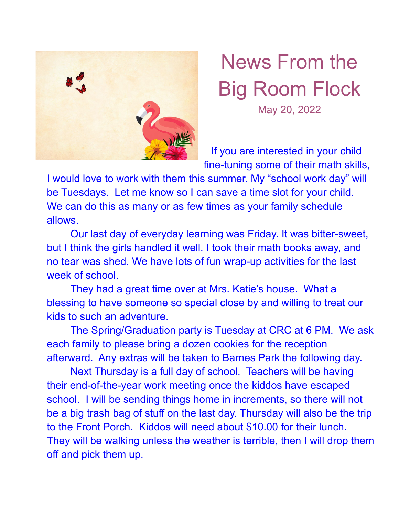

## News From the Big Room Flock May 20, 2022

If you are interested in your child fine-tuning some of their math skills,

I would love to work with them this summer. My "school work day" will be Tuesdays. Let me know so I can save a time slot for your child. We can do this as many or as few times as your family schedule allows.

Our last day of everyday learning was Friday. It was bitter-sweet, but I think the girls handled it well. I took their math books away, and no tear was shed. We have lots of fun wrap-up activities for the last week of school.

They had a great time over at Mrs. Katie's house. What a blessing to have someone so special close by and willing to treat our kids to such an adventure.

The Spring/Graduation party is Tuesday at CRC at 6 PM. We ask each family to please bring a dozen cookies for the reception afterward. Any extras will be taken to Barnes Park the following day.

Next Thursday is a full day of school. Teachers will be having their end-of-the-year work meeting once the kiddos have escaped school. I will be sending things home in increments, so there will not be a big trash bag of stuff on the last day. Thursday will also be the trip to the Front Porch. Kiddos will need about \$10.00 for their lunch. They will be walking unless the weather is terrible, then I will drop them off and pick them up.